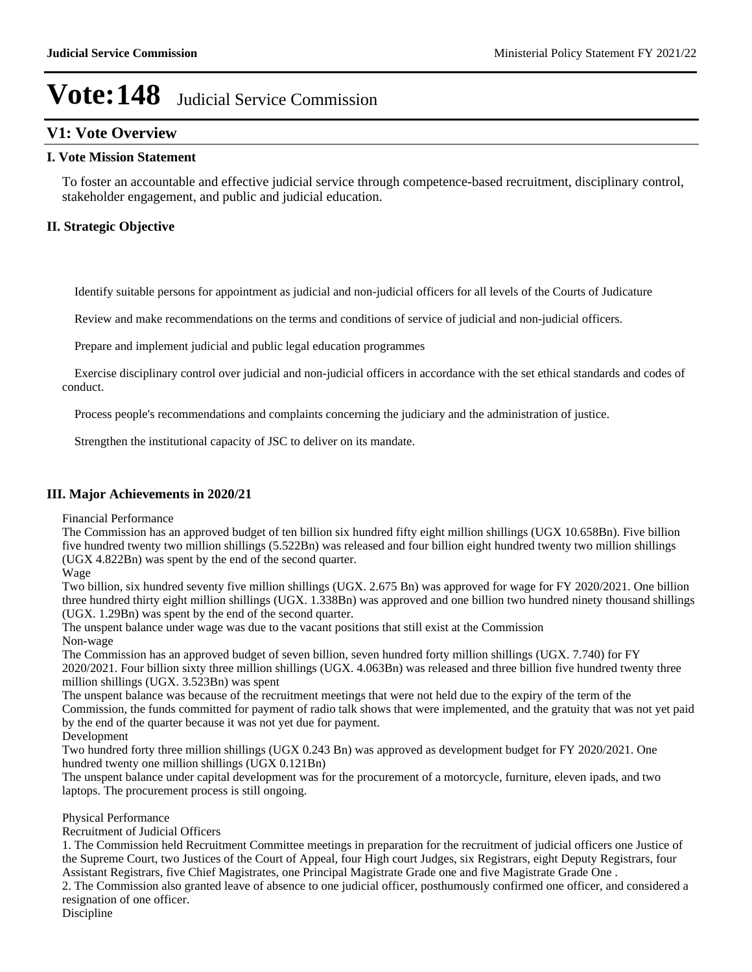## **V1: Vote Overview**

### **I. Vote Mission Statement**

To foster an accountable and effective judicial service through competence-based recruitment, disciplinary control, stakeholder engagement, and public and judicial education.

### **II. Strategic Objective**

Identify suitable persons for appointment as judicial and non-judicial officers for all levels of the Courts of Judicature

Review and make recommendations on the terms and conditions of service of judicial and non-judicial officers.

Prepare and implement judicial and public legal education programmes

 Exercise disciplinary control over judicial and non-judicial officers in accordance with the set ethical standards and codes of conduct.

Process people's recommendations and complaints concerning the judiciary and the administration of justice.

Strengthen the institutional capacity of JSC to deliver on its mandate.

#### **III. Major Achievements in 2020/21**

Financial Performance

The Commission has an approved budget of ten billion six hundred fifty eight million shillings (UGX 10.658Bn). Five billion five hundred twenty two million shillings (5.522Bn) was released and four billion eight hundred twenty two million shillings (UGX 4.822Bn) was spent by the end of the second quarter.

#### Wage

Two billion, six hundred seventy five million shillings (UGX. 2.675 Bn) was approved for wage for FY 2020/2021. One billion three hundred thirty eight million shillings (UGX. 1.338Bn) was approved and one billion two hundred ninety thousand shillings (UGX. 1.29Bn) was spent by the end of the second quarter.

The unspent balance under wage was due to the vacant positions that still exist at the Commission Non-wage

The Commission has an approved budget of seven billion, seven hundred forty million shillings (UGX. 7.740) for FY 2020/2021. Four billion sixty three million shillings (UGX. 4.063Bn) was released and three billion five hundred twenty three million shillings (UGX. 3.523Bn) was spent

The unspent balance was because of the recruitment meetings that were not held due to the expiry of the term of the Commission, the funds committed for payment of radio talk shows that were implemented, and the gratuity that was not yet paid by the end of the quarter because it was not yet due for payment.

Development

Two hundred forty three million shillings (UGX 0.243 Bn) was approved as development budget for FY 2020/2021. One hundred twenty one million shillings (UGX 0.121Bn)

The unspent balance under capital development was for the procurement of a motorcycle, furniture, eleven ipads, and two laptops. The procurement process is still ongoing.

### Physical Performance

Recruitment of Judicial Officers

1. The Commission held Recruitment Committee meetings in preparation for the recruitment of judicial officers one Justice of the Supreme Court, two Justices of the Court of Appeal, four High court Judges, six Registrars, eight Deputy Registrars, four Assistant Registrars, five Chief Magistrates, one Principal Magistrate Grade one and five Magistrate Grade One .

2. The Commission also granted leave of absence to one judicial officer, posthumously confirmed one officer, and considered a resignation of one officer.

Discipline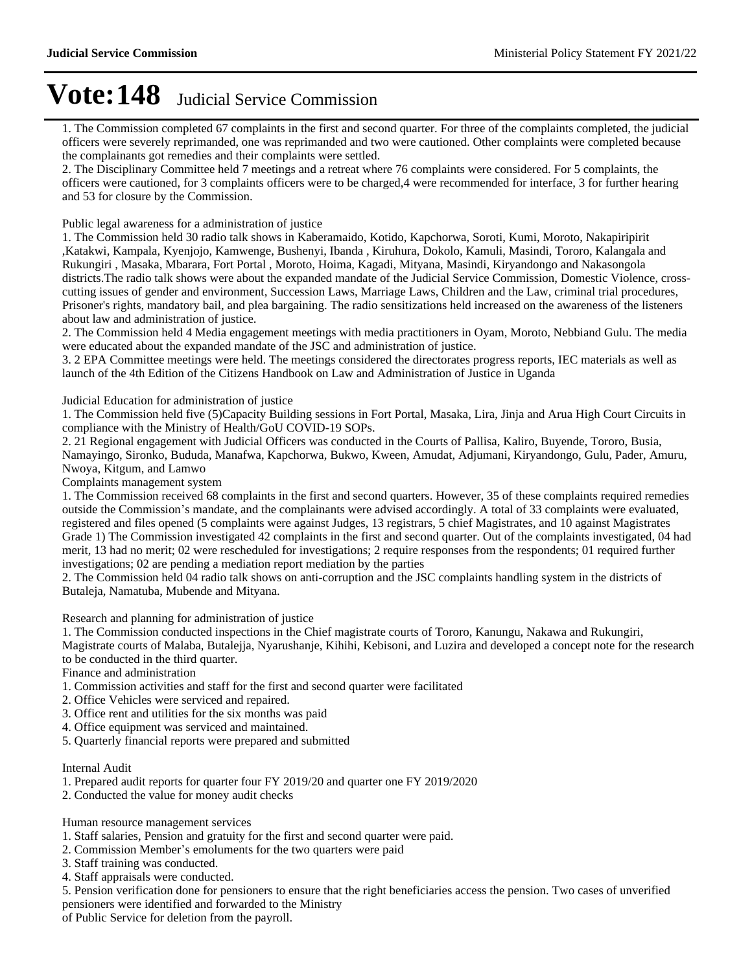1. The Commission completed 67 complaints in the first and second quarter. For three of the complaints completed, the judicial officers were severely reprimanded, one was reprimanded and two were cautioned. Other complaints were completed because the complainants got remedies and their complaints were settled.

2. The Disciplinary Committee held 7 meetings and a retreat where 76 complaints were considered. For 5 complaints, the officers were cautioned, for 3 complaints officers were to be charged,4 were recommended for interface, 3 for further hearing and 53 for closure by the Commission.

Public legal awareness for a administration of justice

1. The Commission held 30 radio talk shows in Kaberamaido, Kotido, Kapchorwa, Soroti, Kumi, Moroto, Nakapiripirit ,Katakwi, Kampala, Kyenjojo, Kamwenge, Bushenyi, Ibanda , Kiruhura, Dokolo, Kamuli, Masindi, Tororo, Kalangala and Rukungiri , Masaka, Mbarara, Fort Portal , Moroto, Hoima, Kagadi, Mityana, Masindi, Kiryandongo and Nakasongola districts.The radio talk shows were about the expanded mandate of the Judicial Service Commission, Domestic Violence, crosscutting issues of gender and environment, Succession Laws, Marriage Laws, Children and the Law, criminal trial procedures, Prisoner's rights, mandatory bail, and plea bargaining. The radio sensitizations held increased on the awareness of the listeners about law and administration of justice.

2. The Commission held 4 Media engagement meetings with media practitioners in Oyam, Moroto, Nebbiand Gulu. The media were educated about the expanded mandate of the JSC and administration of justice.

3. 2 EPA Committee meetings were held. The meetings considered the directorates progress reports, IEC materials as well as launch of the 4th Edition of the Citizens Handbook on Law and Administration of Justice in Uganda

Judicial Education for administration of justice

1. The Commission held five (5)Capacity Building sessions in Fort Portal, Masaka, Lira, Jinja and Arua High Court Circuits in compliance with the Ministry of Health/GoU COVID-19 SOPs.

2. 21 Regional engagement with Judicial Officers was conducted in the Courts of Pallisa, Kaliro, Buyende, Tororo, Busia, Namayingo, Sironko, Bududa, Manafwa, Kapchorwa, Bukwo, Kween, Amudat, Adjumani, Kiryandongo, Gulu, Pader, Amuru, Nwoya, Kitgum, and Lamwo

Complaints management system

1. The Commission received 68 complaints in the first and second quarters. However, 35 of these complaints required remedies outside the Commission's mandate, and the complainants were advised accordingly. A total of 33 complaints were evaluated, registered and files opened (5 complaints were against Judges, 13 registrars, 5 chief Magistrates, and 10 against Magistrates Grade 1) The Commission investigated 42 complaints in the first and second quarter. Out of the complaints investigated, 04 had merit, 13 had no merit; 02 were rescheduled for investigations; 2 require responses from the respondents; 01 required further investigations; 02 are pending a mediation report mediation by the parties

2. The Commission held 04 radio talk shows on anti-corruption and the JSC complaints handling system in the districts of Butaleja, Namatuba, Mubende and Mityana.

Research and planning for administration of justice

1. The Commission conducted inspections in the Chief magistrate courts of Tororo, Kanungu, Nakawa and Rukungiri,

Magistrate courts of Malaba, Butalejja, Nyarushanje, Kihihi, Kebisoni, and Luzira and developed a concept note for the research to be conducted in the third quarter.

Finance and administration

- 1. Commission activities and staff for the first and second quarter were facilitated
- 2. Office Vehicles were serviced and repaired.
- 3. Office rent and utilities for the six months was paid
- 4. Office equipment was serviced and maintained.
- 5. Quarterly financial reports were prepared and submitted

Internal Audit

- 1. Prepared audit reports for quarter four FY 2019/20 and quarter one FY 2019/2020
- 2. Conducted the value for money audit checks

Human resource management services

- 1. Staff salaries, Pension and gratuity for the first and second quarter were paid.
- 2. Commission Member's emoluments for the two quarters were paid
- 3. Staff training was conducted.
- 4. Staff appraisals were conducted.

5. Pension verification done for pensioners to ensure that the right beneficiaries access the pension. Two cases of unverified pensioners were identified and forwarded to the Ministry

of Public Service for deletion from the payroll.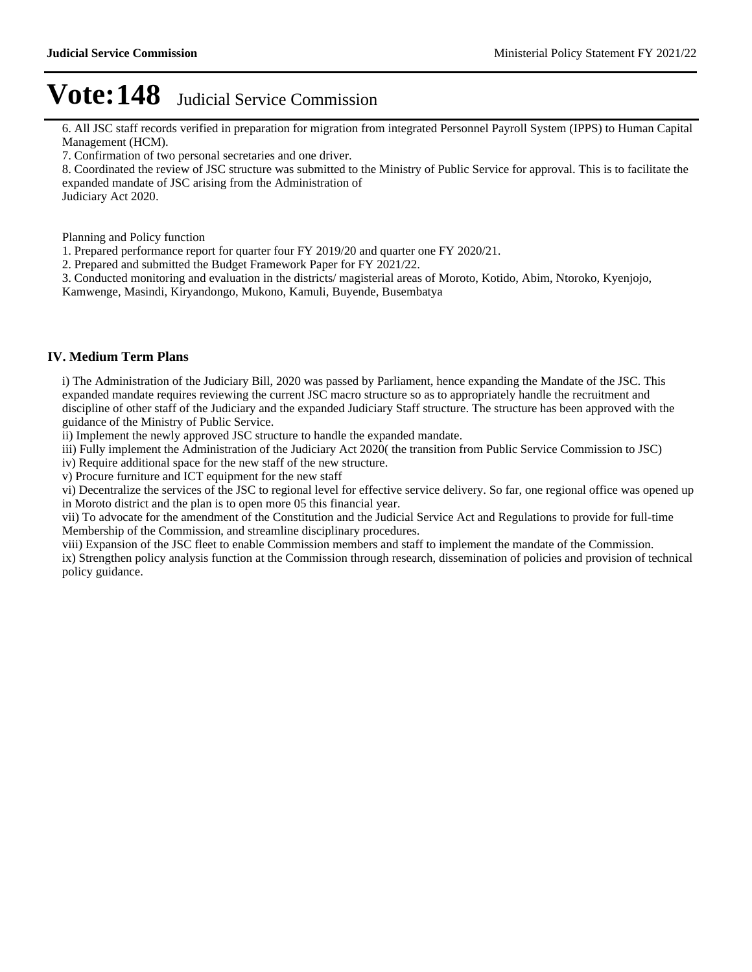6. All JSC staff records verified in preparation for migration from integrated Personnel Payroll System (IPPS) to Human Capital Management (HCM).

7. Confirmation of two personal secretaries and one driver.

8. Coordinated the review of JSC structure was submitted to the Ministry of Public Service for approval. This is to facilitate the expanded mandate of JSC arising from the Administration of Judiciary Act 2020.

Planning and Policy function

1. Prepared performance report for quarter four FY 2019/20 and quarter one FY 2020/21.

2. Prepared and submitted the Budget Framework Paper for FY 2021/22.

3. Conducted monitoring and evaluation in the districts/ magisterial areas of Moroto, Kotido, Abim, Ntoroko, Kyenjojo,

Kamwenge, Masindi, Kiryandongo, Mukono, Kamuli, Buyende, Busembatya

### **IV. Medium Term Plans**

i) The Administration of the Judiciary Bill, 2020 was passed by Parliament, hence expanding the Mandate of the JSC. This expanded mandate requires reviewing the current JSC macro structure so as to appropriately handle the recruitment and discipline of other staff of the Judiciary and the expanded Judiciary Staff structure. The structure has been approved with the guidance of the Ministry of Public Service.

ii) Implement the newly approved JSC structure to handle the expanded mandate.

iii) Fully implement the Administration of the Judiciary Act 2020( the transition from Public Service Commission to JSC)

iv) Require additional space for the new staff of the new structure.

v) Procure furniture and ICT equipment for the new staff

vi) Decentralize the services of the JSC to regional level for effective service delivery. So far, one regional office was opened up in Moroto district and the plan is to open more 05 this financial year.

vii) To advocate for the amendment of the Constitution and the Judicial Service Act and Regulations to provide for full-time Membership of the Commission, and streamline disciplinary procedures.

viii) Expansion of the JSC fleet to enable Commission members and staff to implement the mandate of the Commission. ix) Strengthen policy analysis function at the Commission through research, dissemination of policies and provision of technical policy guidance.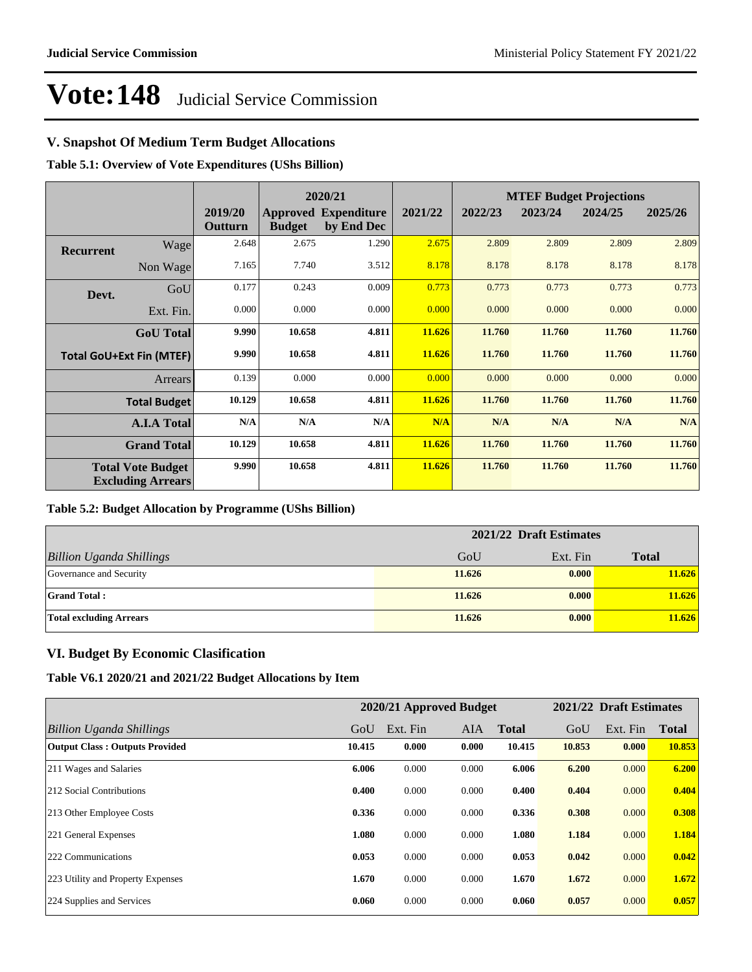## **V. Snapshot Of Medium Term Budget Allocations**

**Table 5.1: Overview of Vote Expenditures (UShs Billion)**

|                  |                                                      |                    |               | 2020/21                                   |         | <b>MTEF Budget Projections</b> |         |         |         |
|------------------|------------------------------------------------------|--------------------|---------------|-------------------------------------------|---------|--------------------------------|---------|---------|---------|
|                  |                                                      | 2019/20<br>Outturn | <b>Budget</b> | <b>Approved Expenditure</b><br>by End Dec | 2021/22 | 2022/23                        | 2023/24 | 2024/25 | 2025/26 |
| <b>Recurrent</b> | Wage                                                 | 2.648              | 2.675         | 1.290                                     | 2.675   | 2.809                          | 2.809   | 2.809   | 2.809   |
|                  | Non Wage                                             | 7.165              | 7.740         | 3.512                                     | 8.178   | 8.178                          | 8.178   | 8.178   | 8.178   |
| Devt.            | GoU                                                  | 0.177              | 0.243         | 0.009                                     | 0.773   | 0.773                          | 0.773   | 0.773   | 0.773   |
|                  | Ext. Fin.                                            | 0.000              | 0.000         | 0.000                                     | 0.000   | 0.000                          | 0.000   | 0.000   | 0.000   |
|                  | <b>GoU</b> Total                                     | 9.990              | 10.658        | 4.811                                     | 11.626  | 11.760                         | 11.760  | 11.760  | 11.760  |
|                  | <b>Total GoU+Ext Fin (MTEF)</b>                      | 9.990              | 10.658        | 4.811                                     | 11.626  | 11.760                         | 11.760  | 11.760  | 11.760  |
|                  | Arrears                                              | 0.139              | 0.000         | 0.000                                     | 0.000   | 0.000                          | 0.000   | 0.000   | 0.000   |
|                  | <b>Total Budget</b>                                  | 10.129             | 10.658        | 4.811                                     | 11.626  | 11.760                         | 11.760  | 11.760  | 11.760  |
|                  | <b>A.I.A Total</b>                                   | N/A                | N/A           | N/A                                       | N/A     | N/A                            | N/A     | N/A     | N/A     |
|                  | <b>Grand Total</b>                                   | 10.129             | 10.658        | 4.811                                     | 11.626  | 11.760                         | 11.760  | 11.760  | 11.760  |
|                  | <b>Total Vote Budget</b><br><b>Excluding Arrears</b> | 9.990              | 10.658        | 4.811                                     | 11.626  | 11.760                         | 11.760  | 11.760  | 11.760  |

#### **Table 5.2: Budget Allocation by Programme (UShs Billion)**

|                                 | 2021/22 Draft Estimates |          |              |  |  |
|---------------------------------|-------------------------|----------|--------------|--|--|
| <b>Billion Uganda Shillings</b> | GoU                     | Ext. Fin | <b>Total</b> |  |  |
| Governance and Security         | 11.626                  | 0.000    | 11.626       |  |  |
| <b>Grand Total:</b>             | 11.626                  | 0.000    | 11.626       |  |  |
| <b>Total excluding Arrears</b>  | 11.626                  | 0.000    | 11.626       |  |  |

### **VI. Budget By Economic Clasification**

**Table V6.1 2020/21 and 2021/22 Budget Allocations by Item**

|                                       |        | 2020/21 Approved Budget |            |              |        | 2021/22 Draft Estimates |              |
|---------------------------------------|--------|-------------------------|------------|--------------|--------|-------------------------|--------------|
| Billion Uganda Shillings              | GoU    | Ext. Fin                | <b>AIA</b> | <b>Total</b> | GoU    | Ext. Fin                | <b>Total</b> |
| <b>Output Class: Outputs Provided</b> | 10.415 | 0.000                   | 0.000      | 10.415       | 10.853 | 0.000                   | 10.853       |
| 211 Wages and Salaries                | 6.006  | 0.000                   | 0.000      | 6.006        | 6.200  | 0.000                   | 6.200        |
| 212 Social Contributions              | 0.400  | 0.000                   | 0.000      | 0.400        | 0.404  | 0.000                   | 0.404        |
| 213 Other Employee Costs              | 0.336  | 0.000                   | 0.000      | 0.336        | 0.308  | 0.000                   | 0.308        |
| 221 General Expenses                  | 1.080  | 0.000                   | 0.000      | 1.080        | 1.184  | 0.000                   | 1.184        |
| 222 Communications                    | 0.053  | 0.000                   | 0.000      | 0.053        | 0.042  | 0.000                   | 0.042        |
| 223 Utility and Property Expenses     | 1.670  | 0.000                   | 0.000      | 1.670        | 1.672  | 0.000                   | 1.672        |
| 224 Supplies and Services             | 0.060  | 0.000                   | 0.000      | 0.060        | 0.057  | 0.000                   | 0.057        |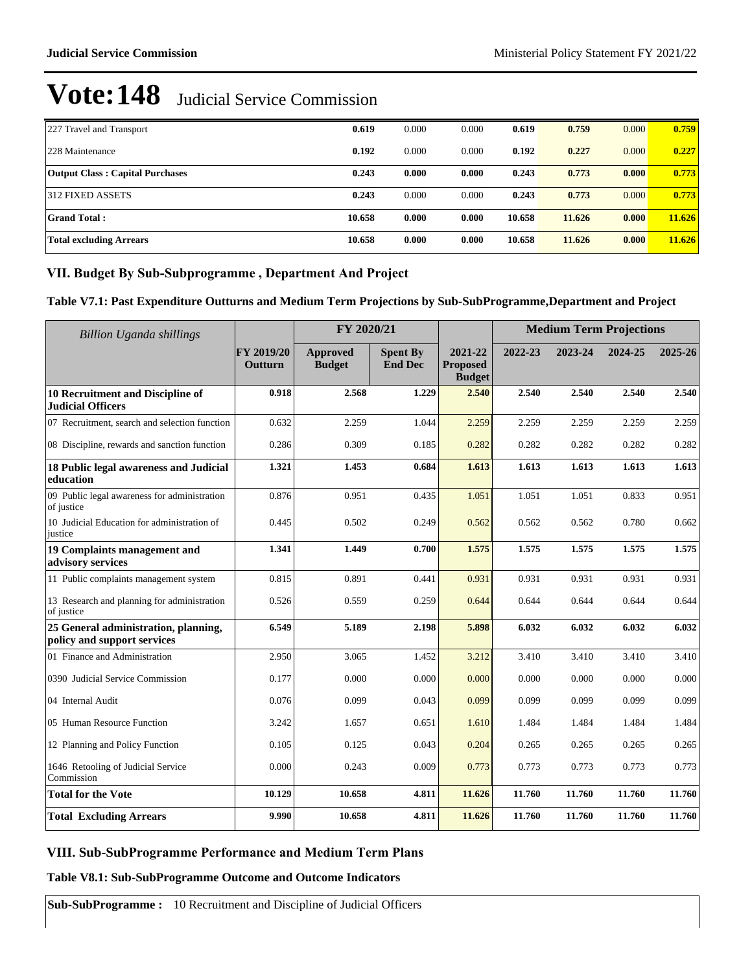| 227 Travel and Transport               | 0.619  | 0.000 | 0.000 | 0.619  | 0.759  | 0.000 | 0.759  |
|----------------------------------------|--------|-------|-------|--------|--------|-------|--------|
| 228 Maintenance                        | 0.192  | 0.000 | 0.000 | 0.192  | 0.227  | 0.000 | 0.227  |
| <b>Output Class: Capital Purchases</b> | 0.243  | 0.000 | 0.000 | 0.243  | 0.773  | 0.000 | 0.773  |
| 312 FIXED ASSETS                       | 0.243  | 0.000 | 0.000 | 0.243  | 0.773  | 0.000 | 0.773  |
| Grand Total :                          | 10.658 | 0.000 | 0.000 | 10.658 | 11.626 | 0.000 | 11.626 |
| <b>Total excluding Arrears</b>         | 10.658 | 0.000 | 0.000 | 10.658 | 11.626 | 0.000 | 11.626 |

## VII. Budget By Sub-Subprogramme, Department And Project

**Table V7.1: Past Expenditure Outturns and Medium Term Projections by Sub-SubProgramme,Department and Project**

| Billion Uganda shillings                                            |                       | FY 2020/21                |                                   | <b>Medium Term Projections</b>              |         |         |         |         |
|---------------------------------------------------------------------|-----------------------|---------------------------|-----------------------------------|---------------------------------------------|---------|---------|---------|---------|
|                                                                     | FY 2019/20<br>Outturn | Approved<br><b>Budget</b> | <b>Spent By</b><br><b>End Dec</b> | 2021-22<br><b>Proposed</b><br><b>Budget</b> | 2022-23 | 2023-24 | 2024-25 | 2025-26 |
| 10 Recruitment and Discipline of<br><b>Judicial Officers</b>        | 0.918                 | 2.568                     | 1.229                             | 2.540                                       | 2.540   | 2.540   | 2.540   | 2.540   |
| 07 Recruitment, search and selection function                       | 0.632                 | 2.259                     | 1.044                             | 2.259                                       | 2.259   | 2.259   | 2.259   | 2.259   |
| 08 Discipline, rewards and sanction function                        | 0.286                 | 0.309                     | 0.185                             | 0.282                                       | 0.282   | 0.282   | 0.282   | 0.282   |
| 18 Public legal awareness and Judicial<br>education                 | 1.321                 | 1.453                     | 0.684                             | 1.613                                       | 1.613   | 1.613   | 1.613   | 1.613   |
| 09 Public legal awareness for administration<br>of justice          | 0.876                 | 0.951                     | 0.435                             | 1.051                                       | 1.051   | 1.051   | 0.833   | 0.951   |
| 10 Judicial Education for administration of<br>justice              | 0.445                 | 0.502                     | 0.249                             | 0.562                                       | 0.562   | 0.562   | 0.780   | 0.662   |
| 19 Complaints management and<br>advisory services                   | 1.341                 | 1.449                     | 0.700                             | 1.575                                       | 1.575   | 1.575   | 1.575   | 1.575   |
| 11 Public complaints management system                              | 0.815                 | 0.891                     | 0.441                             | 0.931                                       | 0.931   | 0.931   | 0.931   | 0.931   |
| 13 Research and planning for administration<br>of justice           | 0.526                 | 0.559                     | 0.259                             | 0.644                                       | 0.644   | 0.644   | 0.644   | 0.644   |
| 25 General administration, planning,<br>policy and support services | 6.549                 | 5.189                     | 2.198                             | 5.898                                       | 6.032   | 6.032   | 6.032   | 6.032   |
| 01 Finance and Administration                                       | 2.950                 | 3.065                     | 1.452                             | 3.212                                       | 3.410   | 3.410   | 3.410   | 3.410   |
| 0390 Judicial Service Commission                                    | 0.177                 | 0.000                     | 0.000                             | 0.000                                       | 0.000   | 0.000   | 0.000   | 0.000   |
| 04 Internal Audit                                                   | 0.076                 | 0.099                     | 0.043                             | 0.099                                       | 0.099   | 0.099   | 0.099   | 0.099   |
| 05 Human Resource Function                                          | 3.242                 | 1.657                     | 0.651                             | 1.610                                       | 1.484   | 1.484   | 1.484   | 1.484   |
| 12 Planning and Policy Function                                     | 0.105                 | 0.125                     | 0.043                             | 0.204                                       | 0.265   | 0.265   | 0.265   | 0.265   |
| 1646 Retooling of Judicial Service<br>Commission                    | 0.000                 | 0.243                     | 0.009                             | 0.773                                       | 0.773   | 0.773   | 0.773   | 0.773   |
| <b>Total for the Vote</b>                                           | 10.129                | 10.658                    | 4.811                             | 11.626                                      | 11.760  | 11.760  | 11.760  | 11.760  |
| <b>Total Excluding Arrears</b>                                      | 9.990                 | 10.658                    | 4.811                             | 11.626                                      | 11.760  | 11.760  | 11.760  | 11.760  |

## VIII. Sub-SubProgramme Performance and Medium Term Plans

**Table V8.1: Sub-SubProgramme Outcome and Outcome Indicators**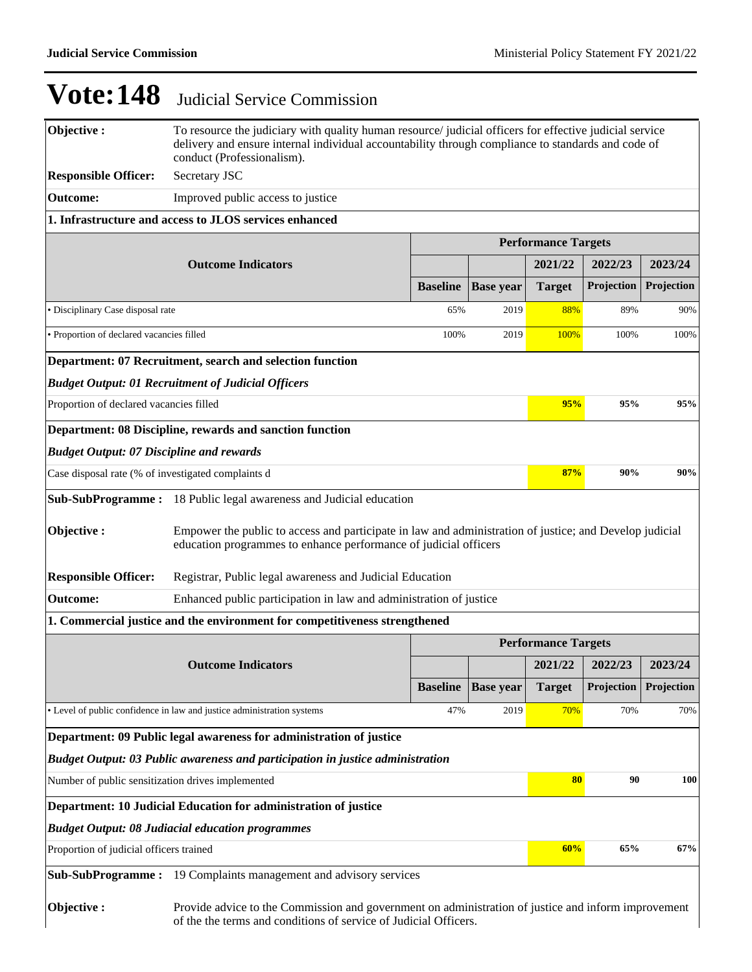| Objective:                                                                                                                                             | To resource the judiciary with quality human resource/ judicial officers for effective judicial service<br>delivery and ensure internal individual accountability through compliance to standards and code of<br>conduct (Professionalism). |                 |                            |                            |                       |            |
|--------------------------------------------------------------------------------------------------------------------------------------------------------|---------------------------------------------------------------------------------------------------------------------------------------------------------------------------------------------------------------------------------------------|-----------------|----------------------------|----------------------------|-----------------------|------------|
| <b>Responsible Officer:</b>                                                                                                                            | Secretary JSC                                                                                                                                                                                                                               |                 |                            |                            |                       |            |
| <b>Outcome:</b>                                                                                                                                        | Improved public access to justice                                                                                                                                                                                                           |                 |                            |                            |                       |            |
|                                                                                                                                                        | 1. Infrastructure and access to JLOS services enhanced                                                                                                                                                                                      |                 |                            |                            |                       |            |
|                                                                                                                                                        |                                                                                                                                                                                                                                             |                 |                            | <b>Performance Targets</b> |                       |            |
|                                                                                                                                                        | <b>Outcome Indicators</b>                                                                                                                                                                                                                   |                 |                            | 2021/22                    | 2022/23               | 2023/24    |
|                                                                                                                                                        |                                                                                                                                                                                                                                             | <b>Baseline</b> | <b>Base year</b>           | <b>Target</b>              | Projection            | Projection |
| · Disciplinary Case disposal rate                                                                                                                      |                                                                                                                                                                                                                                             | 65%             | 2019                       | 88%                        | 89%                   | 90%        |
| · Proportion of declared vacancies filled                                                                                                              |                                                                                                                                                                                                                                             | 100%            | 2019                       | 100%                       | 100%                  | 100%       |
|                                                                                                                                                        | Department: 07 Recruitment, search and selection function                                                                                                                                                                                   |                 |                            |                            |                       |            |
|                                                                                                                                                        | <b>Budget Output: 01 Recruitment of Judicial Officers</b>                                                                                                                                                                                   |                 |                            |                            |                       |            |
| Proportion of declared vacancies filled                                                                                                                |                                                                                                                                                                                                                                             |                 |                            | 95%                        | 95%                   | 95%        |
|                                                                                                                                                        | Department: 08 Discipline, rewards and sanction function                                                                                                                                                                                    |                 |                            |                            |                       |            |
| <b>Budget Output: 07 Discipline and rewards</b>                                                                                                        |                                                                                                                                                                                                                                             |                 |                            |                            |                       |            |
| Case disposal rate (% of investigated complaints d                                                                                                     |                                                                                                                                                                                                                                             |                 |                            | 87%                        | 90%                   | 90%        |
|                                                                                                                                                        | <b>Sub-SubProgramme:</b> 18 Public legal awareness and Judicial education                                                                                                                                                                   |                 |                            |                            |                       |            |
| Objective:                                                                                                                                             | Empower the public to access and participate in law and administration of justice; and Develop judicial<br>education programmes to enhance performance of judicial officers                                                                 |                 |                            |                            |                       |            |
| <b>Responsible Officer:</b>                                                                                                                            | Registrar, Public legal awareness and Judicial Education                                                                                                                                                                                    |                 |                            |                            |                       |            |
| <b>Outcome:</b>                                                                                                                                        | Enhanced public participation in law and administration of justice                                                                                                                                                                          |                 |                            |                            |                       |            |
|                                                                                                                                                        | 1. Commercial justice and the environment for competitiveness strengthened                                                                                                                                                                  |                 |                            |                            |                       |            |
|                                                                                                                                                        | <b>Outcome Indicators</b>                                                                                                                                                                                                                   |                 | <b>Performance Targets</b> |                            |                       | 2023/24    |
|                                                                                                                                                        |                                                                                                                                                                                                                                             | <b>Baseline</b> | <b>Base</b> year           | 2021/22<br><b>Target</b>   | 2022/23<br>Projection | Projection |
|                                                                                                                                                        | • Level of public confidence in law and justice administration systems                                                                                                                                                                      | 47%             | 2019                       | 70%                        | 70%                   | 70%        |
|                                                                                                                                                        | Department: 09 Public legal awareness for administration of justice                                                                                                                                                                         |                 |                            |                            |                       |            |
|                                                                                                                                                        |                                                                                                                                                                                                                                             |                 |                            |                            |                       |            |
| Budget Output: 03 Public awareness and participation in justice administration<br>80<br>90<br>100<br>Number of public sensitization drives implemented |                                                                                                                                                                                                                                             |                 |                            |                            |                       |            |
| Department: 10 Judicial Education for administration of justice                                                                                        |                                                                                                                                                                                                                                             |                 |                            |                            |                       |            |
|                                                                                                                                                        |                                                                                                                                                                                                                                             |                 |                            |                            |                       |            |
| <b>Budget Output: 08 Judiacial education programmes</b><br>60%<br>65%<br>67%<br>Proportion of judicial officers trained                                |                                                                                                                                                                                                                                             |                 |                            |                            |                       |            |
|                                                                                                                                                        |                                                                                                                                                                                                                                             |                 |                            |                            |                       |            |
| Sub-SubProgramme:                                                                                                                                      | 19 Complaints management and advisory services                                                                                                                                                                                              |                 |                            |                            |                       |            |
| Objective:                                                                                                                                             | Provide advice to the Commission and government on administration of justice and inform improvement<br>of the the terms and conditions of service of Judicial Officers.                                                                     |                 |                            |                            |                       |            |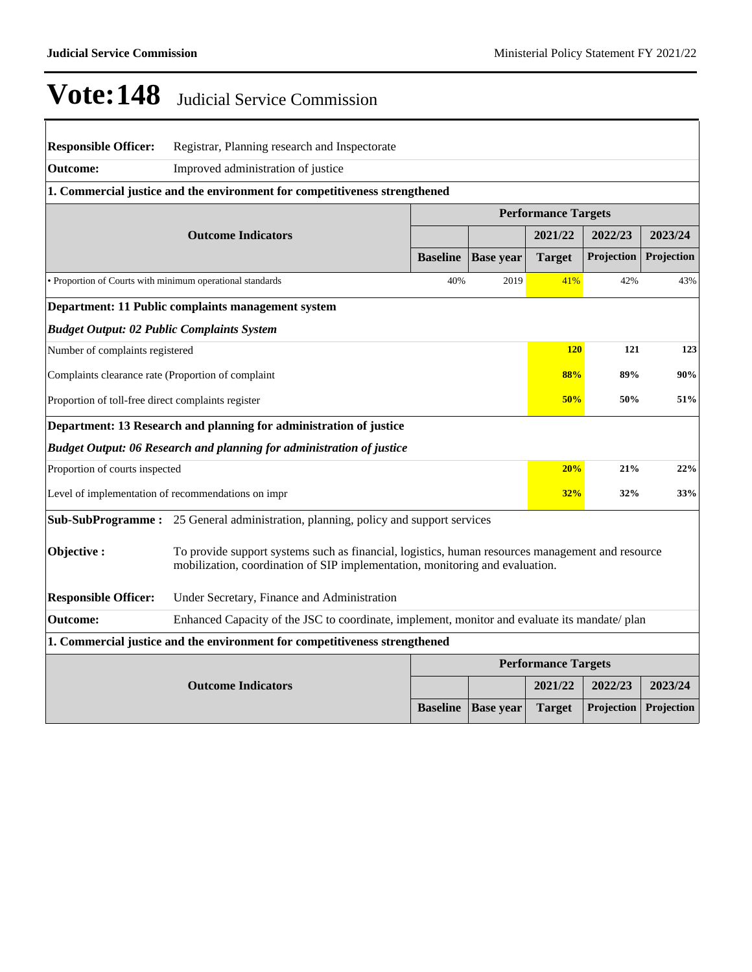## **Vote:148** Judicial Service Commission

| <b>Responsible Officer:</b>                               | Registrar, Planning research and Inspectorate                                                                                                                                    |                 |                  |                            |            |            |  |
|-----------------------------------------------------------|----------------------------------------------------------------------------------------------------------------------------------------------------------------------------------|-----------------|------------------|----------------------------|------------|------------|--|
| <b>Outcome:</b>                                           | Improved administration of justice                                                                                                                                               |                 |                  |                            |            |            |  |
|                                                           | 1. Commercial justice and the environment for competitiveness strengthened                                                                                                       |                 |                  |                            |            |            |  |
|                                                           |                                                                                                                                                                                  |                 |                  | <b>Performance Targets</b> |            |            |  |
|                                                           | <b>Outcome Indicators</b>                                                                                                                                                        |                 |                  | 2021/22                    | 2022/23    | 2023/24    |  |
|                                                           |                                                                                                                                                                                  | <b>Baseline</b> | <b>Base year</b> | <b>Target</b>              | Projection | Projection |  |
| • Proportion of Courts with minimum operational standards |                                                                                                                                                                                  | 40%             | 2019             | 41%                        | 42%        | 43%        |  |
|                                                           | Department: 11 Public complaints management system                                                                                                                               |                 |                  |                            |            |            |  |
| <b>Budget Output: 02 Public Complaints System</b>         |                                                                                                                                                                                  |                 |                  |                            |            |            |  |
| Number of complaints registered                           |                                                                                                                                                                                  |                 |                  | <b>120</b>                 | 121        | 123        |  |
| Complaints clearance rate (Proportion of complaint        |                                                                                                                                                                                  |                 |                  | 88%                        | 89%        | 90%        |  |
| Proportion of toll-free direct complaints register        |                                                                                                                                                                                  |                 |                  | 50%                        | 50%        | 51%        |  |
|                                                           | Department: 13 Research and planning for administration of justice                                                                                                               |                 |                  |                            |            |            |  |
|                                                           | <b>Budget Output: 06 Research and planning for administration of justice</b>                                                                                                     |                 |                  |                            |            |            |  |
| Proportion of courts inspected                            |                                                                                                                                                                                  |                 |                  | 20%                        | 21%        | 22%        |  |
|                                                           | Level of implementation of recommendations on impr                                                                                                                               |                 |                  | 32%                        | 32%        | 33%        |  |
|                                                           | <b>Sub-SubProgramme :</b> 25 General administration, planning, policy and support services                                                                                       |                 |                  |                            |            |            |  |
| Objective:                                                | To provide support systems such as financial, logistics, human resources management and resource<br>mobilization, coordination of SIP implementation, monitoring and evaluation. |                 |                  |                            |            |            |  |
| <b>Responsible Officer:</b>                               | Under Secretary, Finance and Administration                                                                                                                                      |                 |                  |                            |            |            |  |
| <b>Outcome:</b>                                           | Enhanced Capacity of the JSC to coordinate, implement, monitor and evaluate its mandate/ plan                                                                                    |                 |                  |                            |            |            |  |
|                                                           | 1. Commercial justice and the environment for competitiveness strengthened                                                                                                       |                 |                  |                            |            |            |  |
|                                                           |                                                                                                                                                                                  |                 |                  | <b>Performance Targets</b> |            |            |  |
|                                                           | <b>Outcome Indicators</b>                                                                                                                                                        |                 |                  | 2021/22                    | 2022/23    | 2023/24    |  |
|                                                           |                                                                                                                                                                                  | <b>Baseline</b> | <b>Base year</b> | <b>Target</b>              | Projection | Projection |  |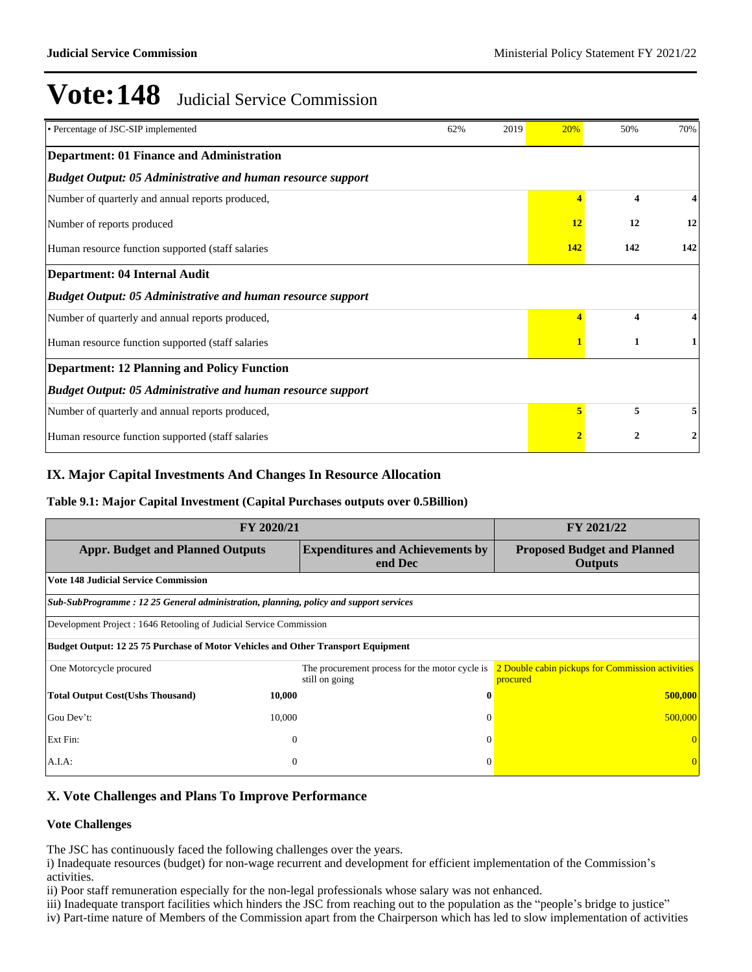| • Percentage of JSC-SIP implemented                                | 62% | 2019 | 20%            | 50%                     | 70% |
|--------------------------------------------------------------------|-----|------|----------------|-------------------------|-----|
| <b>Department: 01 Finance and Administration</b>                   |     |      |                |                         |     |
| <b>Budget Output: 05 Administrative and human resource support</b> |     |      |                |                         |     |
| Number of quarterly and annual reports produced,                   |     |      |                | $\overline{\mathbf{4}}$ |     |
| Number of reports produced                                         |     |      | 12             | 12                      | 12  |
| Human resource function supported (staff salaries                  |     |      | 142            | 142                     | 142 |
| Department: 04 Internal Audit                                      |     |      |                |                         |     |
| <b>Budget Output: 05 Administrative and human resource support</b> |     |      |                |                         |     |
| Number of quarterly and annual reports produced,                   |     |      |                | 4                       |     |
| Human resource function supported (staff salaries                  |     |      |                | $\mathbf{1}$            |     |
| <b>Department: 12 Planning and Policy Function</b>                 |     |      |                |                         |     |
| <b>Budget Output: 05 Administrative and human resource support</b> |     |      |                |                         |     |
| Number of quarterly and annual reports produced,                   |     |      | 5              | 5                       |     |
| Human resource function supported (staff salaries)                 |     |      | $\overline{2}$ | $\overline{2}$          | 2   |

### **IX. Major Capital Investments And Changes In Resource Allocation**

#### **Table 9.1: Major Capital Investment (Capital Purchases outputs over 0.5Billion)**

| FY 2020/21                                                                              | FY 2021/22                                                       |                                                              |  |  |  |  |  |  |
|-----------------------------------------------------------------------------------------|------------------------------------------------------------------|--------------------------------------------------------------|--|--|--|--|--|--|
| <b>Appr. Budget and Planned Outputs</b>                                                 | <b>Proposed Budget and Planned</b><br><b>Outputs</b>             |                                                              |  |  |  |  |  |  |
| <b>Vote 148 Judicial Service Commission</b>                                             |                                                                  |                                                              |  |  |  |  |  |  |
| Sub-SubProgramme: 12 25 General administration, planning, policy and support services   |                                                                  |                                                              |  |  |  |  |  |  |
| Development Project : 1646 Retooling of Judicial Service Commission                     |                                                                  |                                                              |  |  |  |  |  |  |
| <b>Budget Output: 12 25 75 Purchase of Motor Vehicles and Other Transport Equipment</b> |                                                                  |                                                              |  |  |  |  |  |  |
| One Motorcycle procured                                                                 | The procurement process for the motor cycle is<br>still on going | 2 Double cabin pickups for Commission activities<br>procured |  |  |  |  |  |  |
| <b>Total Output Cost(Ushs Thousand)</b><br>10,000                                       | $\bf{0}$                                                         | 500,000                                                      |  |  |  |  |  |  |
| Gou Dev't:<br>10,000                                                                    | $\Omega$                                                         | 500,000                                                      |  |  |  |  |  |  |
| Ext Fin:                                                                                | $\theta$<br>$\Omega$                                             |                                                              |  |  |  |  |  |  |
| A.I.A:                                                                                  | $\overline{0}$<br>$\Omega$                                       |                                                              |  |  |  |  |  |  |

### **X. Vote Challenges and Plans To Improve Performance**

#### **Vote Challenges**

The JSC has continuously faced the following challenges over the years.

i) Inadequate resources (budget) for non-wage recurrent and development for efficient implementation of the Commission's activities.

ii) Poor staff remuneration especially for the non-legal professionals whose salary was not enhanced.

iii) Inadequate transport facilities which hinders the JSC from reaching out to the population as the "people's bridge to justice" iv) Part-time nature of Members of the Commission apart from the Chairperson which has led to slow implementation of activities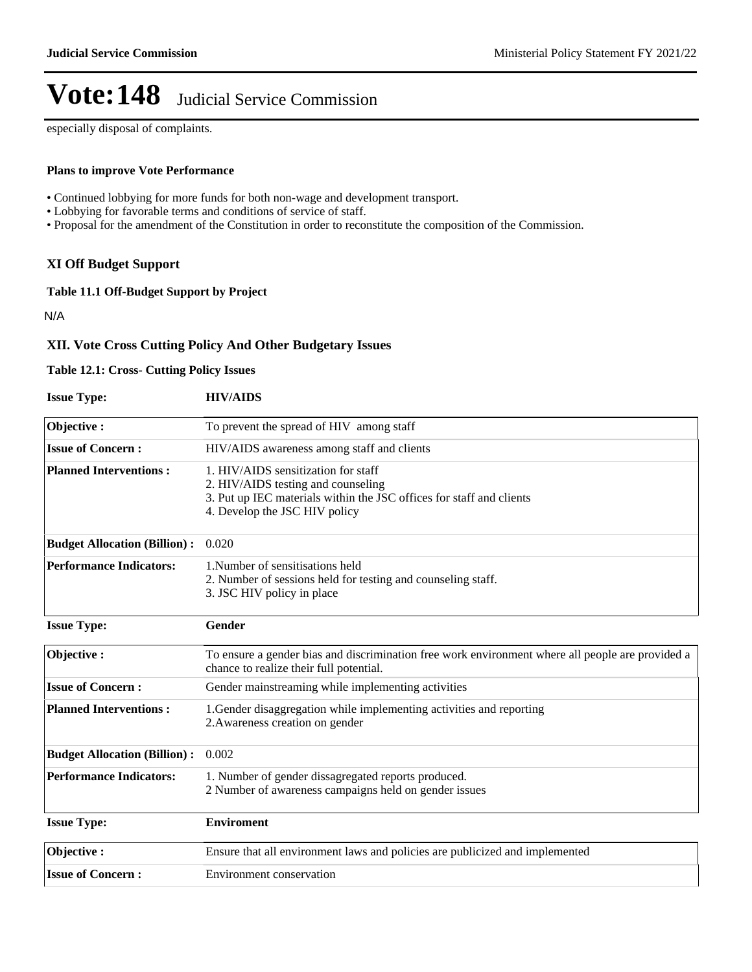especially disposal of complaints.

#### **Plans to improve Vote Performance**

- Continued lobbying for more funds for both non-wage and development transport.
- Lobbying for favorable terms and conditions of service of staff.
- Proposal for the amendment of the Constitution in order to reconstitute the composition of the Commission.

### **XI Off Budget Support**

**Table 11.1 Off-Budget Support by Project**

N/A

### **XII. Vote Cross Cutting Policy And Other Budgetary Issues**

#### **Table 12.1: Cross- Cutting Policy Issues**

| <b>Issue Type:</b>                  | <b>HIV/AIDS</b>                                                                                                                                                                    |
|-------------------------------------|------------------------------------------------------------------------------------------------------------------------------------------------------------------------------------|
| Objective:                          | To prevent the spread of HIV among staff                                                                                                                                           |
| <b>Issue of Concern:</b>            | HIV/AIDS awareness among staff and clients                                                                                                                                         |
| <b>Planned Interventions:</b>       | 1. HIV/AIDS sensitization for staff<br>2. HIV/AIDS testing and counseling<br>3. Put up IEC materials within the JSC offices for staff and clients<br>4. Develop the JSC HIV policy |
| <b>Budget Allocation (Billion):</b> | 0.020                                                                                                                                                                              |
| <b>Performance Indicators:</b>      | 1. Number of sensitisations held<br>2. Number of sessions held for testing and counseling staff.<br>3. JSC HIV policy in place                                                     |
| <b>Issue Type:</b>                  | Gender                                                                                                                                                                             |
| Objective:                          | To ensure a gender bias and discrimination free work environment where all people are provided a<br>chance to realize their full potential.                                        |
| <b>Issue of Concern:</b>            | Gender mainstreaming while implementing activities                                                                                                                                 |
| <b>Planned Interventions:</b>       | 1. Gender disaggregation while implementing activities and reporting<br>2. Awareness creation on gender                                                                            |
| <b>Budget Allocation (Billion):</b> | 0.002                                                                                                                                                                              |
| <b>Performance Indicators:</b>      | 1. Number of gender dissagregated reports produced.<br>2 Number of awareness campaigns held on gender issues                                                                       |
| <b>Issue Type:</b>                  | <b>Enviroment</b>                                                                                                                                                                  |
| Objective:                          | Ensure that all environment laws and policies are publicized and implemented                                                                                                       |
| <b>Issue of Concern:</b>            | Environment conservation                                                                                                                                                           |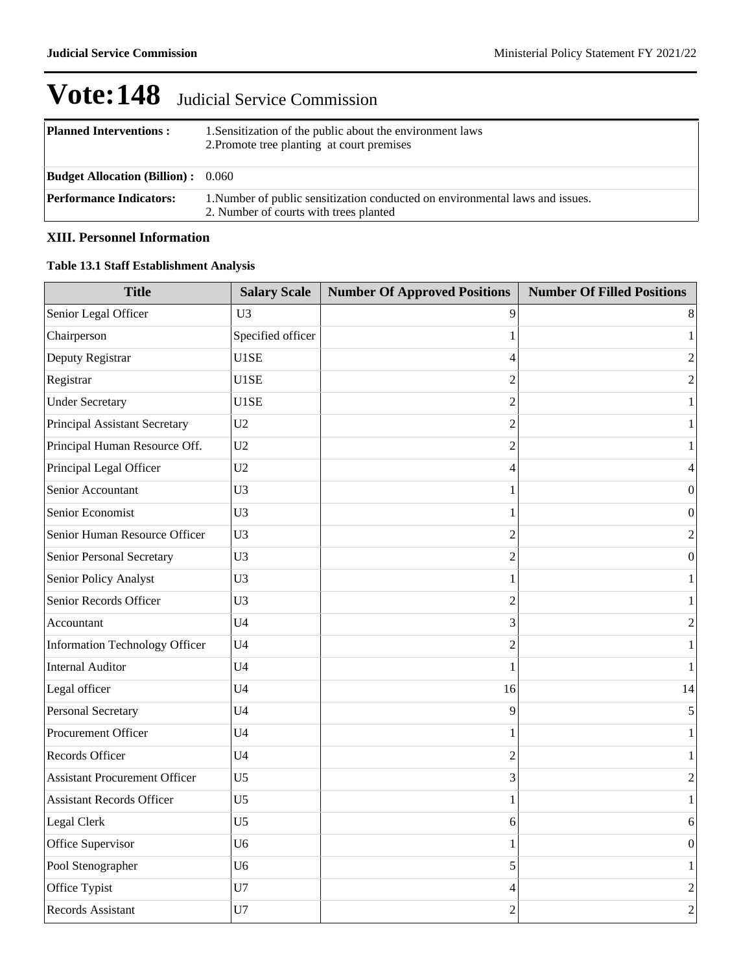| <b>Planned Interventions:</b>             | 1. Sensitization of the public about the environment laws<br>2. Promote tree planting at court premises                 |
|-------------------------------------------|-------------------------------------------------------------------------------------------------------------------------|
| <b>Budget Allocation (Billion):</b> 0.060 |                                                                                                                         |
| <b>Performance Indicators:</b>            | 1. Number of public sensitization conducted on environmental laws and issues.<br>2. Number of courts with trees planted |

## **XIII. Personnel Information**

### **Table 13.1 Staff Establishment Analysis**

| <b>Title</b>                         | <b>Salary Scale</b> | <b>Number Of Approved Positions</b> | <b>Number Of Filled Positions</b> |
|--------------------------------------|---------------------|-------------------------------------|-----------------------------------|
| Senior Legal Officer                 | U3                  | 9                                   | 8                                 |
| Chairperson                          | Specified officer   | 1                                   | $\mathbf{1}$                      |
| Deputy Registrar                     | U1SE                | 4                                   | $\boldsymbol{2}$                  |
| Registrar                            | U1SE                | $\overline{2}$                      | $\overline{2}$                    |
| <b>Under Secretary</b>               | U1SE                | $\overline{2}$                      | $\mathbf{1}$                      |
| Principal Assistant Secretary        | U <sub>2</sub>      | $\overline{2}$                      | $\mathbf{1}$                      |
| Principal Human Resource Off.        | U <sub>2</sub>      | 2                                   | 1                                 |
| Principal Legal Officer              | U <sub>2</sub>      | 4                                   | 4                                 |
| Senior Accountant                    | U <sub>3</sub>      | 1                                   | $\boldsymbol{0}$                  |
| Senior Economist                     | U3                  | 1                                   | $\mathbf{0}$                      |
| Senior Human Resource Officer        | U <sub>3</sub>      | $\overline{2}$                      | $\overline{2}$                    |
| Senior Personal Secretary            | U3                  | $\overline{c}$                      | $\boldsymbol{0}$                  |
| Senior Policy Analyst                | U <sub>3</sub>      | 1                                   | $\mathbf{1}$                      |
| Senior Records Officer               | U <sub>3</sub>      | $\overline{2}$                      | 1                                 |
| Accountant                           | U <sub>4</sub>      | 3                                   | $\boldsymbol{2}$                  |
| Information Technology Officer       | U <sub>4</sub>      | $\overline{2}$                      | $\mathbf{1}$                      |
| <b>Internal Auditor</b>              | U <sub>4</sub>      | 1                                   | $\mathbf{1}$                      |
| Legal officer                        | U <sub>4</sub>      | 16                                  | 14                                |
| Personal Secretary                   | U <sub>4</sub>      | 9                                   | 5                                 |
| Procurement Officer                  | U <sub>4</sub>      | 1                                   | $\mathbf{1}$                      |
| Records Officer                      | U <sub>4</sub>      | $\overline{2}$                      | $\mathbf{1}$                      |
| <b>Assistant Procurement Officer</b> | U <sub>5</sub>      | 3                                   | $\sqrt{2}$                        |
| <b>Assistant Records Officer</b>     | U <sub>5</sub>      | 1                                   | $\mathbf{1}$                      |
| Legal Clerk                          | U <sub>5</sub>      | 6                                   | 6                                 |
| Office Supervisor                    | U <sub>6</sub>      | 1                                   | $\boldsymbol{0}$                  |
| Pool Stenographer                    | U <sub>6</sub>      | 5                                   | $\mathbf{1}$                      |
| Office Typist                        | U7                  | 4                                   | $\overline{c}$                    |
| Records Assistant                    | U7                  | $\overline{2}$                      | $\overline{2}$                    |